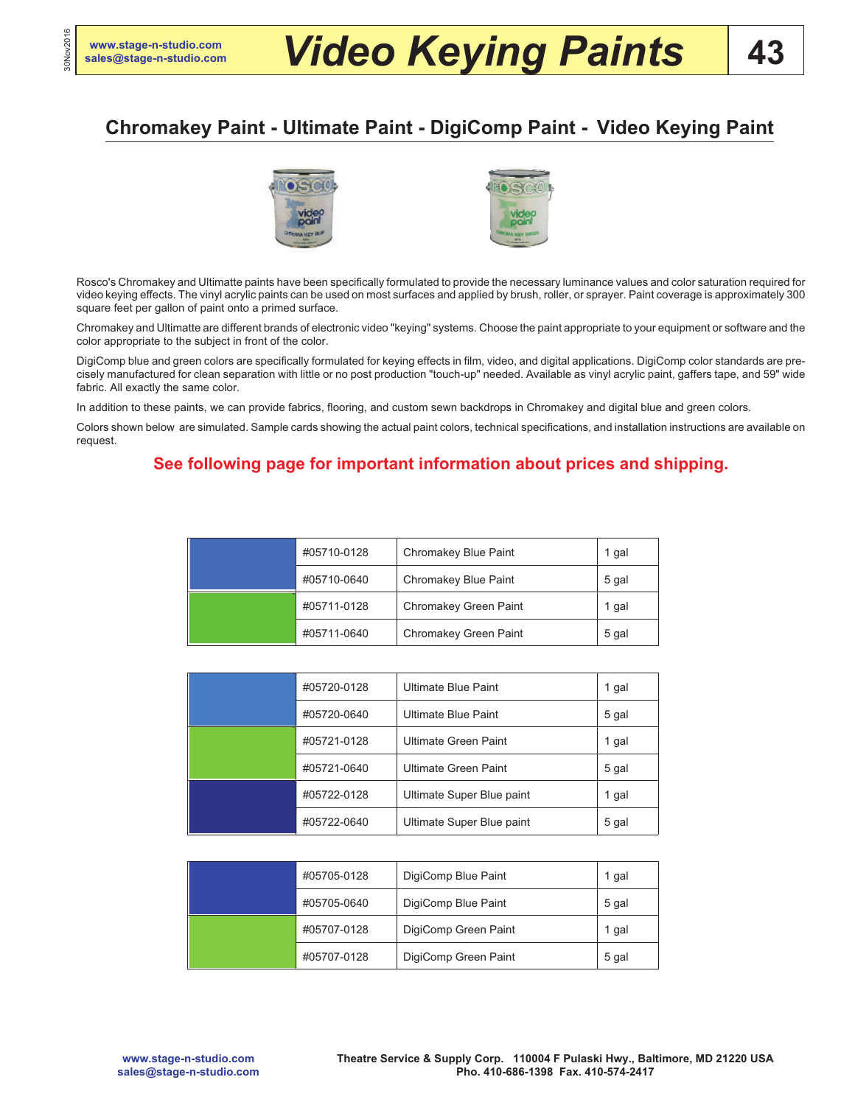30Nov2016

# **[sales@stage-n-studio.com](mailto:sales@stage-n-studio.com)** *Video Keying Paints*

**43**

## **Chromakey Paint - Ultimate Paint - DigiComp Paint - Video Keying Paint**



Rosco's Chromakey and Ultimatte paints have been specifically formulated to provide the necessary luminance values and color saturation required for video keying effects. The vinyl acrylic paints can be used on most surfaces and applied by brush, roller, or sprayer. Paint coverage is approximately 300 square feet per gallon of paint onto a primed surface.

Chromakey and Ultimatte are different brands of electronic video "keying" systems. Choose the paint appropriate to your equipment or software and the color appropriate to the subject in front of the color.

DigiComp blue and green colors are specifically formulated for keying effects in film, video, and digital applications. DigiComp color standards are precisely manufactured for clean separation with little or no post production "touch-up" needed. Available as vinyl acrylic paint, gaffers tape, and 59" wide fabric. All exactly the same color.

In addition to these paints, we can provide fabrics, flooring, and custom sewn backdrops in Chromakey and digital blue and green colors.

Colors shown below are simulated. Sample cards showing the actual paint colors, technical specifications, and installation instructions are available on request.

## **See following page for important information about prices and shipping.**

|  | #05710-0128 | Chromakey Blue Paint  | 1 gal |
|--|-------------|-----------------------|-------|
|  | #05710-0640 | Chromakey Blue Paint  | 5 gal |
|  | #05711-0128 | Chromakey Green Paint | 1 gal |
|  | #05711-0640 | Chromakey Green Paint | 5 gal |

|  | #05720-0128 | Ultimate Blue Paint       | 1 gal |
|--|-------------|---------------------------|-------|
|  | #05720-0640 | Ultimate Blue Paint       | 5 gal |
|  | #05721-0128 | Ultimate Green Paint      | 1 gal |
|  | #05721-0640 | Ultimate Green Paint      | 5 gal |
|  | #05722-0128 | Ultimate Super Blue paint | 1 gal |
|  | #05722-0640 | Ultimate Super Blue paint | 5 gal |

| #05705-0128 | DigiComp Blue Paint  | 1 gal |
|-------------|----------------------|-------|
| #05705-0640 | DigiComp Blue Paint  | 5 gal |
| #05707-0128 | DigiComp Green Paint | 1 gal |
| #05707-0128 | DigiComp Green Paint | 5 gal |